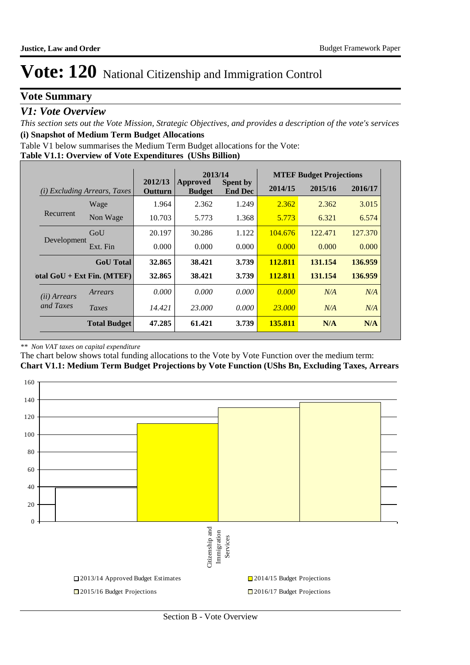# **Vote Summary**

### *V1: Vote Overview*

*This section sets out the Vote Mission, Strategic Objectives, and provides a description of the vote's services* **(i) Snapshot of Medium Term Budget Allocations** 

Table V1 below summarises the Medium Term Budget allocations for the Vote:

#### **Table V1.1: Overview of Vote Expenditures (UShs Billion)**

|                       |                                 |                    | 2013/14                   |                                   | <b>MTEF Budget Projections</b> |         |         |  |
|-----------------------|---------------------------------|--------------------|---------------------------|-----------------------------------|--------------------------------|---------|---------|--|
| (i)                   | <b>Excluding Arrears, Taxes</b> | 2012/13<br>Outturn | Approved<br><b>Budget</b> | <b>Spent by</b><br><b>End Dec</b> | 2014/15                        | 2015/16 | 2016/17 |  |
|                       | Wage                            | 1.964              | 2.362                     | 1.249                             | 2.362                          | 2.362   | 3.015   |  |
| Recurrent             | Non Wage                        | 10.703             | 5.773                     | 1.368                             | 5.773                          | 6.321   | 6.574   |  |
|                       | GoU                             | 20.197             | 30.286                    | 1.122                             | 104.676                        | 122.471 | 127.370 |  |
| Development           | Ext. Fin                        | 0.000              | 0.000                     | 0.000                             | 0.000                          | 0.000   | 0.000   |  |
|                       | <b>GoU</b> Total                | 32.865             | 38.421                    | 3.739                             | 112.811                        | 131.154 | 136.959 |  |
|                       | otal $GoU + Ext Fin. (MTEF)$    | 32.865             | 38.421                    | 3.739                             | 112.811                        | 131.154 | 136.959 |  |
| ( <i>ii</i> ) Arrears | Arrears                         | 0.000              | 0.000                     | 0.000                             | 0.000                          | N/A     | N/A     |  |
| and Taxes             | Taxes                           | 14.421             | 23,000                    | 0.000                             | <b>23,000</b>                  | N/A     | N/A     |  |
|                       | <b>Total Budget</b>             | 47.285             | 61.421                    | 3.739                             | 135.811                        | N/A     | N/A     |  |

#### *\*\* Non VAT taxes on capital expenditure*

The chart below shows total funding allocations to the Vote by Vote Function over the medium term:



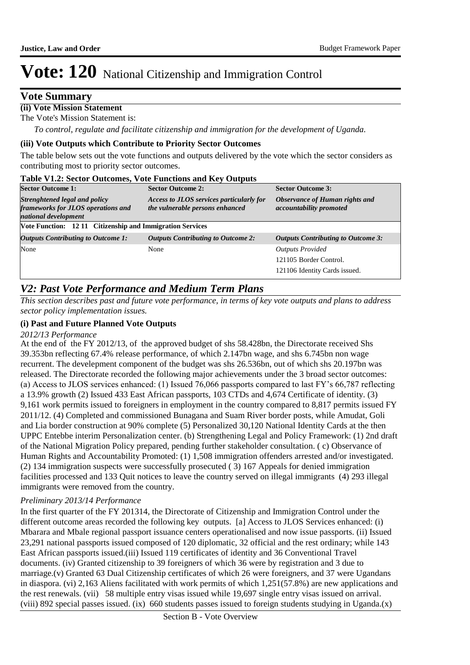### **Vote Summary**

### **(ii) Vote Mission Statement**

The Vote's Mission Statement is:

*To control, regulate and facilitate citizenship and immigration for the development of Uganda.*

#### **(iii) Vote Outputs which Contribute to Priority Sector Outcomes**

The table below sets out the vote functions and outputs delivered by the vote which the sector considers as contributing most to priority sector outcomes.

| <b>Table V1.2: Sector Outcomes, Vote Functions and Key Outputs</b>                          |                                                                             |                                                                  |  |  |  |  |  |  |  |
|---------------------------------------------------------------------------------------------|-----------------------------------------------------------------------------|------------------------------------------------------------------|--|--|--|--|--|--|--|
| <b>Sector Outcome 1:</b>                                                                    | <b>Sector Outcome 2:</b>                                                    | <b>Sector Outcome 3:</b>                                         |  |  |  |  |  |  |  |
| Strenghtened legal and policy<br>frameworks for JLOS operations and<br>national development | Access to JLOS services particularly for<br>the vulnerable persons enhanced | Observance of Human rights and<br><i>accountability promoted</i> |  |  |  |  |  |  |  |
|                                                                                             | Vote Function: 12 11 Citizenship and Immigration Services                   |                                                                  |  |  |  |  |  |  |  |
| <b>Outputs Contributing to Outcome 1:</b>                                                   | <b>Outputs Contributing to Outcome 2:</b>                                   | <b>Outputs Contributing to Outcome 3:</b>                        |  |  |  |  |  |  |  |
| None                                                                                        | None                                                                        | <b>Outputs Provided</b>                                          |  |  |  |  |  |  |  |
|                                                                                             |                                                                             | 121105 Border Control.                                           |  |  |  |  |  |  |  |
|                                                                                             |                                                                             | 121106 Identity Cards issued.                                    |  |  |  |  |  |  |  |

### *V2: Past Vote Performance and Medium Term Plans*

*This section describes past and future vote performance, in terms of key vote outputs and plans to address sector policy implementation issues.* 

#### **(i) Past and Future Planned Vote Outputs**

#### *2012/13 Performance*

At the end of the FY 2012/13, of the approved budget of shs 58.428bn, the Directorate received Shs 39.353bn reflecting 67.4% release performance, of which 2.147bn wage, and shs 6.745bn non wage recurrent. The develepment component of the budget was shs 26.536bn, out of which shs 20.197bn was released. The Directorate recorded the following major achievements under the 3 broad sector outcomes: (a) Access to JLOS services enhanced: (1) Issued 76,066 passports compared to last FY's 66,787 reflecting a 13.9% growth (2) Issued 433 East African passports, 103 CTDs and 4,674 Certificate of identity. (3) 9,161 work permits issued to foreigners in employment in the country compared to 8,817 permits issued FY 2011/12. (4) Completed and commissioned Bunagana and Suam River border posts, while Amudat, Goli and Lia border construction at 90% complete (5) Personalized 30,120 National Identity Cards at the then UPPC Entebbe interim Personalization center. (b) Strengthening Legal and Policy Framework: (1) 2nd draft of the National Migration Policy prepared, pending further stakeholder consultation. ( c) Observance of Human Rights and Accountability Promoted: (1) 1,508 immigration offenders arrested and/or investigated. (2) 134 immigration suspects were successfully prosecuted ( 3) 167 Appeals for denied immigration facilities processed and 133 Quit notices to leave the country served on illegal immigrants (4) 293 illegal immigrants were removed from the country.

#### *Preliminary 2013/14 Performance*

In the first quarter of the FY 201314, the Directorate of Citizenship and Immigration Control under the different outcome areas recorded the following key outputs. [a] Access to JLOS Services enhanced: (i) Mbarara and Mbale regional passport issuance centers operationalised and now issue passports. (ii) Issued 23,291 national passports issued composed of 120 diplomatic, 32 official and the rest ordinary; while 143 East African passports issued.(iii) Issued 119 certificates of identity and 36 Conventional Travel documents. (iv) Granted citizenship to 39 foreigners of which 36 were by registration and 3 due to marriage.(v) Granted 63 Dual Citizenship certificates of which 26 were foreigners, and 37 were Ugandans in diaspora. (vi) 2,163 Aliens facilitated with work permits of which 1,251(57.8%) are new applications and the rest renewals. (vii) 58 multiple entry visas issued while 19,697 single entry visas issued on arrival. (viii) 892 special passes issued. (ix) 660 students passes issued to foreign students studying in Uganda.(x)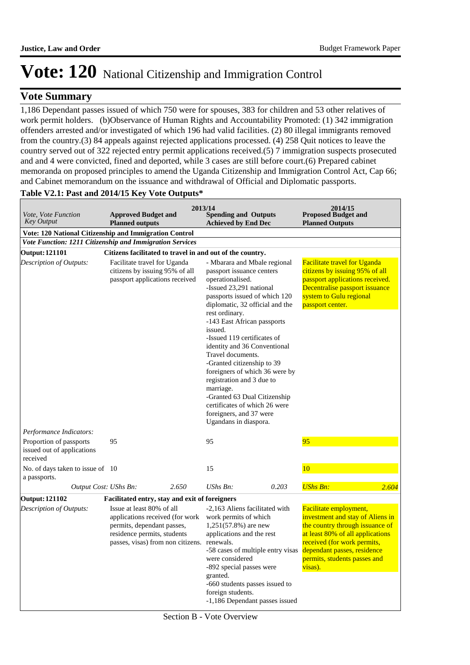### **Vote Summary**

1,186 Dependant passes issued of which 750 were for spouses, 383 for children and 53 other relatives of work permit holders. (b)Observance of Human Rights and Accountability Promoted: (1) 342 immigration offenders arrested and/or investigated of which 196 had valid facilities. (2) 80 illegal immigrants removed from the country.(3) 84 appeals against rejected applications processed. (4) 258 Quit notices to leave the country served out of 322 rejected entry permit applications received.(5) 7 immigration suspects prosecuted and and 4 were convicted, fined and deported, while 3 cases are still before court.(6) Prepared cabinet memoranda on proposed principles to amend the Uganda Citizenship and Immigration Control Act, Cap 66; and Cabinet memorandum on the issuance and withdrawal of Official and Diplomatic passports.

#### **Table V2.1: Past and 2014/15 Key Vote Outputs\***

|                                                                   |                                                                                                                                                                |       | 2013/14                                                                                                                                                                                                                                                                                                                                                                                                                                                                                                                                                     |       | 2014/15                                                                                                                                                                                                                                    |       |
|-------------------------------------------------------------------|----------------------------------------------------------------------------------------------------------------------------------------------------------------|-------|-------------------------------------------------------------------------------------------------------------------------------------------------------------------------------------------------------------------------------------------------------------------------------------------------------------------------------------------------------------------------------------------------------------------------------------------------------------------------------------------------------------------------------------------------------------|-------|--------------------------------------------------------------------------------------------------------------------------------------------------------------------------------------------------------------------------------------------|-------|
| Vote, Vote Function<br><b>Key Output</b>                          | <b>Approved Budget and</b><br><b>Planned outputs</b>                                                                                                           |       | <b>Spending and Outputs</b><br><b>Achieved by End Dec</b>                                                                                                                                                                                                                                                                                                                                                                                                                                                                                                   |       | <b>Proposed Budget and</b><br><b>Planned Outputs</b>                                                                                                                                                                                       |       |
| Vote: 120 National Citizenship and Immigration Control            |                                                                                                                                                                |       |                                                                                                                                                                                                                                                                                                                                                                                                                                                                                                                                                             |       |                                                                                                                                                                                                                                            |       |
| Vote Function: 1211 Citizenship and Immigration Services          |                                                                                                                                                                |       |                                                                                                                                                                                                                                                                                                                                                                                                                                                                                                                                                             |       |                                                                                                                                                                                                                                            |       |
| <b>Output: 121101</b>                                             | Citizens facilitated to travel in and out of the country.                                                                                                      |       |                                                                                                                                                                                                                                                                                                                                                                                                                                                                                                                                                             |       |                                                                                                                                                                                                                                            |       |
| Description of Outputs:                                           | Facilitate travel for Uganda<br>citizens by issuing 95% of all<br>passport applications received                                                               |       | - Mbarara and Mbale regional<br>passport issuance centers<br>operationalised.<br>-Issued 23,291 national<br>passports issued of which 120<br>diplomatic, 32 official and the<br>rest ordinary.<br>-143 East African passports<br>issued.<br>-Issued 119 certificates of<br>identity and 36 Conventional<br>Travel documents.<br>-Granted citizenship to 39<br>foreigners of which 36 were by<br>registration and 3 due to<br>marriage.<br>-Granted 63 Dual Citizenship<br>certificates of which 26 were<br>foreigners, and 37 were<br>Ugandans in diaspora. |       | <b>Facilitate travel for Uganda</b><br>citizens by issuing 95% of all<br>passport applications received.<br>Decentralise passport issuance<br>system to Gulu regional<br>passport center.                                                  |       |
| Performance Indicators:                                           |                                                                                                                                                                |       |                                                                                                                                                                                                                                                                                                                                                                                                                                                                                                                                                             |       |                                                                                                                                                                                                                                            |       |
| Proportion of passports<br>issued out of applications<br>received | 95                                                                                                                                                             |       | 95                                                                                                                                                                                                                                                                                                                                                                                                                                                                                                                                                          |       | 95                                                                                                                                                                                                                                         |       |
| No. of days taken to issue of 10<br>a passports.                  |                                                                                                                                                                |       | 15                                                                                                                                                                                                                                                                                                                                                                                                                                                                                                                                                          |       | 10                                                                                                                                                                                                                                         |       |
| Output Cost: UShs Bn:                                             |                                                                                                                                                                | 2.650 | UShs Bn:                                                                                                                                                                                                                                                                                                                                                                                                                                                                                                                                                    | 0.203 | <b>UShs Bn:</b>                                                                                                                                                                                                                            | 2.604 |
| <b>Output: 121102</b>                                             | Facilitated entry, stay and exit of foreigners                                                                                                                 |       |                                                                                                                                                                                                                                                                                                                                                                                                                                                                                                                                                             |       |                                                                                                                                                                                                                                            |       |
| Description of Outputs:                                           | Issue at least 80% of all<br>applications received (for work<br>permits, dependant passes,<br>residence permits, students<br>passes, visas) from non citizens. |       | -2,163 Aliens facilitated with<br>work permits of which<br>$1,251(57.8%)$ are new<br>applications and the rest<br>renewals.<br>-58 cases of multiple entry visas<br>were considered<br>-892 special passes were<br>granted.<br>-660 students passes issued to<br>foreign students.<br>-1,186 Dependant passes issued                                                                                                                                                                                                                                        |       | Facilitate employment,<br>investment and stay of Aliens in<br>the country through issuance of<br>at least 80% of all applications<br>received (for work permits,<br>dependant passes, residence<br>permits, students passes and<br>visas). |       |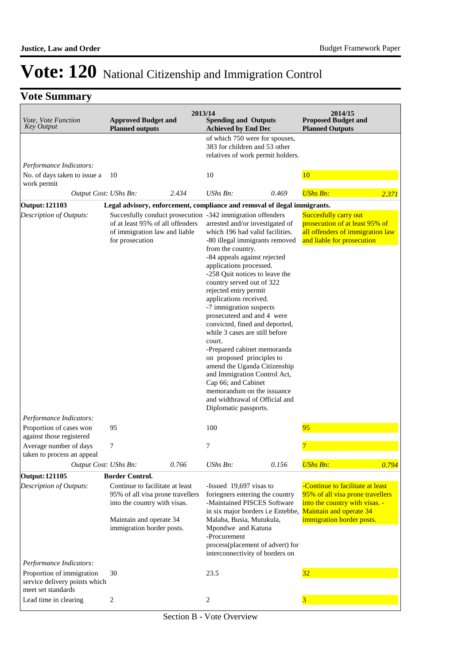# **Vote Summary**

| Vote, Vote Function<br><b>Key Output</b>                                         | <b>Approved Budget and</b><br><b>Planned outputs</b>                                                                                                                                  | 2013/14 | <b>Spending and Outputs</b><br><b>Achieved by End Dec</b>                                                                                                                                                                                                                                                                                                                                                                                                                                                                                                                                                                                                                                                                                               |       | 2014/15<br><b>Proposed Budget and</b><br><b>Planned Outputs</b>                                                                                                       |       |
|----------------------------------------------------------------------------------|---------------------------------------------------------------------------------------------------------------------------------------------------------------------------------------|---------|---------------------------------------------------------------------------------------------------------------------------------------------------------------------------------------------------------------------------------------------------------------------------------------------------------------------------------------------------------------------------------------------------------------------------------------------------------------------------------------------------------------------------------------------------------------------------------------------------------------------------------------------------------------------------------------------------------------------------------------------------------|-------|-----------------------------------------------------------------------------------------------------------------------------------------------------------------------|-------|
|                                                                                  |                                                                                                                                                                                       |         | of which 750 were for spouses,<br>383 for children and 53 other<br>relatives of work permit holders.                                                                                                                                                                                                                                                                                                                                                                                                                                                                                                                                                                                                                                                    |       |                                                                                                                                                                       |       |
| Performance Indicators:                                                          |                                                                                                                                                                                       |         |                                                                                                                                                                                                                                                                                                                                                                                                                                                                                                                                                                                                                                                                                                                                                         |       |                                                                                                                                                                       |       |
| No. of days taken to issue a<br>work permit                                      | 10                                                                                                                                                                                    |         | 10                                                                                                                                                                                                                                                                                                                                                                                                                                                                                                                                                                                                                                                                                                                                                      |       | 10                                                                                                                                                                    |       |
| Output Cost: UShs Bn:                                                            |                                                                                                                                                                                       | 2.434   | UShs Bn:                                                                                                                                                                                                                                                                                                                                                                                                                                                                                                                                                                                                                                                                                                                                                | 0.469 | <b>UShs Bn:</b>                                                                                                                                                       | 2.371 |
| <b>Output: 121103</b>                                                            |                                                                                                                                                                                       |         | Legal advisory, enforcement, compliance and removal of ilegal immigrants.                                                                                                                                                                                                                                                                                                                                                                                                                                                                                                                                                                                                                                                                               |       |                                                                                                                                                                       |       |
| Description of Outputs:                                                          | of at least 95% of all offenders<br>of immigration law and liable<br>for prosecution                                                                                                  |         | Succesfully conduct prosecution -342 immigration offenders<br>arrested and/or investigated of<br>which 196 had valid facilities.<br>-80 illegal immigrants removed<br>from the country.<br>-84 appeals against rejected<br>applications processed.<br>-258 Quit notices to leave the<br>country served out of 322<br>rejected entry permit<br>applications received.<br>-7 immigration suspects<br>prosecuteed and and 4 were<br>convicted, fined and deported,<br>while 3 cases are still before<br>court.<br>-Prepared cabinet memoranda<br>on proposed principles to<br>amend the Uganda Citizenship<br>and Immigration Control Act,<br>Cap 66; and Cabinet<br>memorandum on the issuance<br>and widthrawal of Official and<br>Diplomatic passports. |       | Succesfully carry out<br>prosecution of at least 95% of<br>all offenders of immigration law<br>and liable for prosecution                                             |       |
| Performance Indicators:<br>Proportion of cases won                               | 95                                                                                                                                                                                    |         | 100                                                                                                                                                                                                                                                                                                                                                                                                                                                                                                                                                                                                                                                                                                                                                     |       | 95                                                                                                                                                                    |       |
| against those registered                                                         |                                                                                                                                                                                       |         |                                                                                                                                                                                                                                                                                                                                                                                                                                                                                                                                                                                                                                                                                                                                                         |       |                                                                                                                                                                       |       |
| Average number of days<br>taken to process an appeal                             | 7                                                                                                                                                                                     |         | 7                                                                                                                                                                                                                                                                                                                                                                                                                                                                                                                                                                                                                                                                                                                                                       |       |                                                                                                                                                                       |       |
| Output Cost: UShs Bn:                                                            |                                                                                                                                                                                       | 0.766   | UShs Bn:                                                                                                                                                                                                                                                                                                                                                                                                                                                                                                                                                                                                                                                                                                                                                | 0.156 | <b>UShs Bn:</b>                                                                                                                                                       | 0.794 |
| <b>Output: 121105</b><br>Description of Outputs:                                 | <b>Border Control.</b><br>Continue to facilitate at least<br>95% of all visa prone travellers<br>into the country with visas.<br>Maintain and operate 34<br>immigration border posts. |         | -Issued 19,697 visas to<br>foriegners entering the country<br>-Maintained PISCES Software<br>in six major borders <i>i.e</i> Entebbe,<br>Malaba, Busia, Mutukula,<br>Mpondwe and Katuna<br>-Procurement<br>process(placement of advert) for<br>interconnectivity of borders on                                                                                                                                                                                                                                                                                                                                                                                                                                                                          |       | -Continue to facilitate at least<br>95% of all visa prone travellers<br>into the country with visas. -<br><b>Maintain and operate 34</b><br>immigration border posts. |       |
| Performance Indicators:                                                          |                                                                                                                                                                                       |         |                                                                                                                                                                                                                                                                                                                                                                                                                                                                                                                                                                                                                                                                                                                                                         |       |                                                                                                                                                                       |       |
| Proportion of immigration<br>service delivery points which<br>meet set standards | 30                                                                                                                                                                                    |         | 23.5                                                                                                                                                                                                                                                                                                                                                                                                                                                                                                                                                                                                                                                                                                                                                    |       | 32                                                                                                                                                                    |       |
| Lead time in clearing                                                            | 2                                                                                                                                                                                     |         | $\overline{2}$                                                                                                                                                                                                                                                                                                                                                                                                                                                                                                                                                                                                                                                                                                                                          |       | 3                                                                                                                                                                     |       |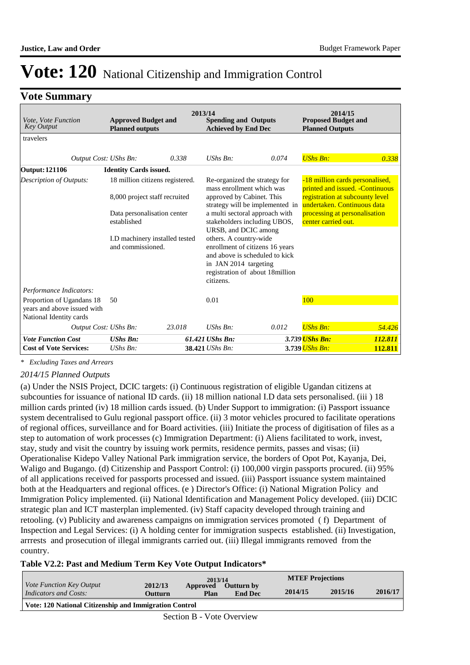### **Vote Summary**

| Vote, Vote Function<br><b>Key Output</b>                                            | 2013/14<br><b>Approved Budget and</b><br><b>Spending and Outputs</b><br><b>Planned outputs</b><br><b>Achieved by End Dec</b>                                          |        |                                                                                                                                                                                                                                                                                                                                                                                  |       | 2014/15<br><b>Proposed Budget and</b><br><b>Planned Outputs</b>                                                                                                                               |         |  |
|-------------------------------------------------------------------------------------|-----------------------------------------------------------------------------------------------------------------------------------------------------------------------|--------|----------------------------------------------------------------------------------------------------------------------------------------------------------------------------------------------------------------------------------------------------------------------------------------------------------------------------------------------------------------------------------|-------|-----------------------------------------------------------------------------------------------------------------------------------------------------------------------------------------------|---------|--|
| travelers                                                                           |                                                                                                                                                                       |        |                                                                                                                                                                                                                                                                                                                                                                                  |       |                                                                                                                                                                                               |         |  |
| Output Cost: UShs Bn:                                                               |                                                                                                                                                                       | 0.338  | $UShs$ $Bn$ :                                                                                                                                                                                                                                                                                                                                                                    | 0.074 | <b>UShs Bn:</b>                                                                                                                                                                               | 0.338   |  |
| <b>Output: 121106</b>                                                               | <b>Identity Cards issued.</b>                                                                                                                                         |        |                                                                                                                                                                                                                                                                                                                                                                                  |       |                                                                                                                                                                                               |         |  |
| Description of Outputs:                                                             | 18 million citizens registered.<br>8,000 project staff recruited<br>Data personalisation center<br>established<br>I.D machinery installed tested<br>and commissioned. |        | Re-organized the strategy for<br>mass enrollment which was<br>approved by Cabinet. This<br>strategy will be implemented in<br>a multi sectoral approach with<br>stakeholders including UBOS,<br>URSB, and DCIC among<br>others. A country-wide<br>enrollment of citizens 16 years<br>and above is scheduled to kick<br>in JAN 2014 targeting<br>registration of about 18 million |       | -18 million cards personalised,<br>printed and issued. - Continuous<br>registration at subcounty level<br>undertaken. Continuous data<br>processing at personalisation<br>center carried out. |         |  |
| Performance Indicators:                                                             |                                                                                                                                                                       |        | citizens.                                                                                                                                                                                                                                                                                                                                                                        |       |                                                                                                                                                                                               |         |  |
| Proportion of Ugandans 18<br>years and above issued with<br>National Identity cards | 50                                                                                                                                                                    |        | 0.01                                                                                                                                                                                                                                                                                                                                                                             |       | 100                                                                                                                                                                                           |         |  |
| Output Cost: UShs Bn:                                                               |                                                                                                                                                                       | 23.018 | $UShs Bn$ :                                                                                                                                                                                                                                                                                                                                                                      | 0.012 | <b>UShs Bn:</b>                                                                                                                                                                               | 54.426  |  |
| <b>Vote Function Cost</b>                                                           | <b>UShs Bn:</b>                                                                                                                                                       |        | 61.421 UShs Bn:                                                                                                                                                                                                                                                                                                                                                                  |       | 3.739 UShs Bn:                                                                                                                                                                                | 112.811 |  |
| <b>Cost of Vote Services:</b>                                                       | UShs Bn:                                                                                                                                                              |        | 38.421 UShs Bn:                                                                                                                                                                                                                                                                                                                                                                  |       | 3.739 UShs Bn:                                                                                                                                                                                | 112.811 |  |

*\* Excluding Taxes and Arrears*

#### *2014/15 Planned Outputs*

(a) Under the NSIS Project, DCIC targets: (i) Continuous registration of eligible Ugandan citizens at subcounties for issuance of national ID cards. (ii) 18 million national I.D data sets personalised. (iii) 18 million cards printed (iv) 18 million cards issued. (b) Under Support to immigration: (i) Passport issuance system decentralised to Gulu regional passport office. (ii) 3 motor vehicles procured to facilitate operations of regional offices, surveillance and for Board activities. (iii) Initiate the process of digitisation of files as a step to automation of work processes (c) Immigration Department: (i) Aliens facilitated to work, invest, stay, study and visit the country by issuing work permits, residence permits, passes and visas; (ii) Operationalise Kidepo Valley National Park immigration service, the borders of Opot Pot, Kayanja, Dei, Waligo and Bugango. (d) Citizenship and Passport Control: (i) 100,000 virgin passports procured. (ii) 95% of all applications received for passports processed and issued. (iii) Passport issuance system maintained both at the Headquarters and regional offices. (e ) Director's Office: (i) National Migration Policy and Immigration Policy implemented. (ii) National Identification and Management Policy developed. (iii) DCIC strategic plan and ICT masterplan implemented. (iv) Staff capacity developed through training and retooling. (v) Publicity and awareness campaigns on immigration services promoted ( f) Department of Inspection and Legal Services: (i) A holding center for immigration suspects established. (ii) Investigation, arrrests and prosecution of illegal immigrants carried out. (iii) Illegal immigrants removed from the country.

#### **Table V2.2: Past and Medium Term Key Vote Output Indicators\***

| <i>Vote Function Key Output</i>                        | 2012/13 | 2013/14<br>Approved | Outturn by     | <b>MTEF Projections</b> |         |         |
|--------------------------------------------------------|---------|---------------------|----------------|-------------------------|---------|---------|
| Indicators and Costs:                                  | Outturn | Plan                | <b>End Dec</b> | 2014/15                 | 2015/16 | 2016/17 |
| Vote: 120 National Citizenship and Immigration Control |         |                     |                |                         |         |         |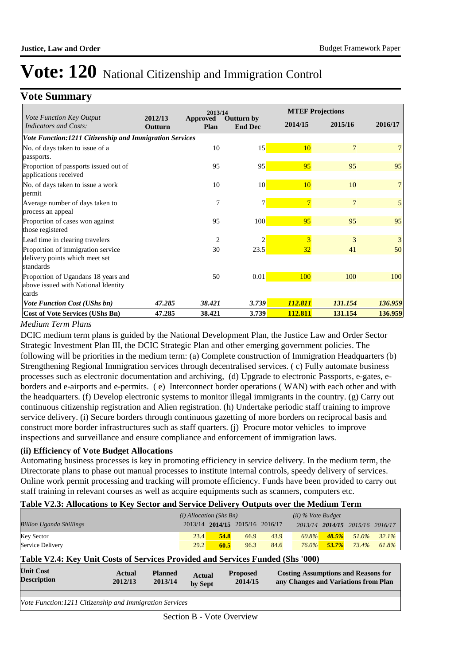### **Vote Summary**

|                                                                                     |                    | 2013/14                 |                              |                | <b>MTEF Projections</b> |         |
|-------------------------------------------------------------------------------------|--------------------|-------------------------|------------------------------|----------------|-------------------------|---------|
| Vote Function Key Output<br>Indicators and Costs:                                   | 2012/13<br>Outturn | <b>Approved</b><br>Plan | Outturn by<br><b>End Dec</b> | 2014/15        | 2015/16                 | 2016/17 |
| Vote Function:1211 Citizenship and Immigration Services                             |                    |                         |                              |                |                         |         |
| No. of days taken to issue of a<br>passports.                                       |                    | 10                      | 15                           | 10             | 7                       |         |
| Proportion of passports issued out of<br>applications received                      |                    | 95                      | 95                           | 95             | 95                      | 95      |
| No. of days taken to issue a work<br>permit                                         |                    | 10                      | 10                           | 10             | 10                      | 7       |
| Average number of days taken to<br>process an appeal                                |                    | 7                       | 7                            | $\overline{7}$ | 7                       | 5       |
| Proportion of cases won against<br>those registered                                 |                    | 95                      | 100                          | 95             | 95                      | 95      |
| Lead time in clearing travelers                                                     |                    | 2                       | 2                            | 3              | 3                       | 3       |
| Proportion of immigration service<br>delivery points which meet set<br>standards    |                    | 30                      | 23.5                         | 32             | 41                      | 50      |
| Proportion of Ugandans 18 years and<br>above issued with National Identity<br>cards |                    | 50                      | 0.01                         | 100            | 100                     | 100     |
| <b>Vote Function Cost (UShs bn)</b>                                                 | 47.285             | 38.421                  | 3.739                        | 112.811        | 131.154                 | 136.959 |
| Cost of Vote Services (UShs Bn)                                                     | 47.285             | 38.421                  | 3.739                        | 112.811        | 131.154                 | 136.959 |

#### *Medium Term Plans*

DCIC medium term plans is guided by the National Development Plan, the Justice Law and Order Sector Strategic Investment Plan III, the DCIC Strategic Plan and other emerging government policies. The following will be priorities in the medium term: (a) Complete construction of Immigration Headquarters (b) Strengthening Regional Immigration services through decentralised services. ( c) Fully automate business processes such as electronic documentation and archiving, (d) Upgrade to electronic Passports, e-gates, eborders and e-airports and e-permits. ( e) Interconnect border operations ( WAN) with each other and with the headquarters. (f) Develop electronic systems to monitor illegal immigrants in the country. (g) Carry out continuous citizenship registration and Alien registration. (h) Undertake periodic staff training to improve service delivery. (i) Secure borders through continuous gazetting of more borders on reciprocal basis and construct more border infrastructures such as staff quarters. (j) Procure motor vehicles to improve inspections and surveillance and ensure compliance and enforcement of immigration laws.

#### **(ii) Efficiency of Vote Budget Allocations**

Automating business processes is key in promoting efficiency in service delivery. In the medium term, the Directorate plans to phase out manual processes to institute internal controls, speedy delivery of services. Online work permit processing and tracking will promote efficiency. Funds have been provided to carry out staff training in relevant courses as well as acquire equipments such as scanners, computers etc.

### **Table V2.3: Allocations to Key Sector and Service Delivery Outputs over the Medium Term**

|                                 | $(i)$ Allocation (Shs Bn) |      |                                 |      | $(ii)$ % Vote Budget |           |                                 |          |
|---------------------------------|---------------------------|------|---------------------------------|------|----------------------|-----------|---------------------------------|----------|
| <b>Billion Uganda Shillings</b> |                           |      | 2013/14 2014/15 2015/16 2016/17 |      |                      |           | 2013/14 2014/15 2015/16 2016/17 |          |
| <b>Key Sector</b>               | 23.4                      | 54.8 | 66.9                            | 43.9 | 60.8%                | 48.5%     | 51.0%                           | $32.1\%$ |
| Service Delivery                | 29.2                      | 60.5 | 96.3                            | 84.6 | $76.0\%$             | $-53.7\%$ | 73.4%                           | 61.8%    |

#### **Table V2.4: Key Unit Costs of Services Provided and Services Funded (Shs '000)**

| <b>Unit Cost</b><br><b>Description</b> | Actual<br>2012/13 | <b>Planned</b><br>2013/14 | Actual<br>by Sept | <b>Proposed</b><br>2014/15 | <b>Costing Assumptions and Reasons for</b><br>any Changes and Variations from Plan |
|----------------------------------------|-------------------|---------------------------|-------------------|----------------------------|------------------------------------------------------------------------------------|
|                                        |                   |                           |                   |                            |                                                                                    |
|                                        |                   |                           |                   |                            |                                                                                    |

*Vote Function:1211 Citizenship and Immigration Services*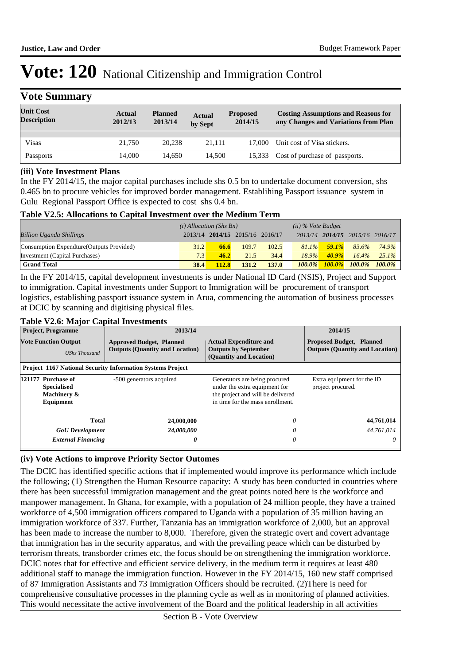| <b>Vote Summary</b>                    |                   |                           |                          |                            |                                                                                    |
|----------------------------------------|-------------------|---------------------------|--------------------------|----------------------------|------------------------------------------------------------------------------------|
| <b>Unit Cost</b><br><b>Description</b> | Actual<br>2012/13 | <b>Planned</b><br>2013/14 | <b>Actual</b><br>by Sept | <b>Proposed</b><br>2014/15 | <b>Costing Assumptions and Reasons for</b><br>any Changes and Variations from Plan |
|                                        |                   |                           |                          |                            |                                                                                    |
| Visas                                  | 21.750            | 20.238                    | 21,111                   | 17.000                     | Unit cost of Visa stickers.                                                        |
| Passports                              | 14.000            | 14,650                    | 14,500                   | 15.333                     | Cost of purchase of passports.                                                     |

#### **(iii) Vote Investment Plans**

In the FY 2014/15, the major capital purchases include shs 0.5 bn to undertake document conversion, shs 0.465 bn to procure vehicles for improved border management. Establihing Passport issuance system in Gulu Regional Passport Office is expected to cost shs 0.4 bn.

#### **Table V2.5: Allocations to Capital Investment over the Medium Term**

|                                           | $(i)$ Allocation (Shs Bn) |              |                                 |       | $(ii)$ % Vote Budget |           |                                 |           |
|-------------------------------------------|---------------------------|--------------|---------------------------------|-------|----------------------|-----------|---------------------------------|-----------|
| <b>Billion Uganda Shillings</b>           |                           |              | 2013/14 2014/15 2015/16 2016/17 |       |                      |           | 2013/14 2014/15 2015/16 2016/17 |           |
| Consumption Expendture (Outputs Provided) | 31.2                      | 66.6         | 109.7                           | 102.5 | $81.1\%$             | $-59.1\%$ | 83.6%                           | 74.9%     |
| Investment (Capital Purchases)            | 7.3 <sub>1</sub>          | 46.2         | 21.5                            | 34.4  | 18.9%                | $40.9\%$  | $16.4\%$                        | $25.1\%$  |
| <b>Grand Total</b>                        | 38.4                      | <b>112.8</b> | 131.2                           | 137.0 | $100.0\%$            | $100.0\%$ | $100.0\%$                       | $100.0\%$ |

In the FY 2014/15, capital development investments is under National ID Card (NSIS), Project and Support to immigration. Capital investments under Support to Immigration will be procurement of transport logistics, establishing passport issuance system in Arua, commencing the automation of business processes at DCIC by scanning and digitising physical files.

#### **Table V2.6: Major Capital Investments**

| <b>Project, Programme</b>                                            | 2013/14                                                                   | 2014/15                                                                                                                                 |                                                 |
|----------------------------------------------------------------------|---------------------------------------------------------------------------|-----------------------------------------------------------------------------------------------------------------------------------------|-------------------------------------------------|
| <b>Vote Function Output</b><br><b>UShs Thousand</b>                  | <b>Approved Budget, Planned</b><br><b>Outputs (Quantity and Location)</b> | <b>Actual Expenditure and</b><br><b>Outputs by September</b><br><b>Outputs (Quantity and Location)</b><br>(Quantity and Location)       |                                                 |
|                                                                      | <b>Project 1167 National Security Information Systems Project</b>         |                                                                                                                                         |                                                 |
| 121177 Purchase of<br><b>Specialised</b><br>Machinery &<br>Equipment | -500 generators acquired                                                  | Generators are being procured<br>under the extra equipment for<br>the project and will be delivered<br>in time for the mass enrollment. | Extra equipment for the ID<br>project procured. |
| Total                                                                | 24,000,000                                                                | 0                                                                                                                                       | 44,761,014                                      |
| <b>GoU</b> Development                                               | 24,000,000                                                                | $\theta$                                                                                                                                | 44.761.014                                      |
| <b>External Financing</b>                                            | 0                                                                         | $\theta$                                                                                                                                | $\theta$                                        |

#### **(iv) Vote Actions to improve Priority Sector Outomes**

The DCIC has identified specific actions that if implemented would improve its performance which include the following; (1) Strengthen the Human Resource capacity: A study has been conducted in countries where there has been successful immigration management and the great points noted here is the workforce and manpower management. In Ghana, for example, with a population of 24 million people, they have a trained workforce of 4,500 immigration officers compared to Uganda with a population of 35 million having an immigration workforce of 337. Further, Tanzania has an immigration workforce of 2,000, but an approval has been made to increase the number to 8,000. Therefore, given the strategic overt and covert advantage that immigration has in the security apparatus, and with the prevailing peace which can be disturbed by terrorism threats, transborder crimes etc, the focus should be on strengthening the immigration workforce. DCIC notes that for effective and efficient service delivery, in the medium term it requires at least 480 additional staff to manage the immigration function. However in the FY 2014/15, 160 new staff comprised of 87 Immigration Assistants and 73 Immigration Officers should be recruited. (2)There is need for comprehensive consultative processes in the planning cycle as well as in monitoring of planned activities. This would necessitate the active involvement of the Board and the political leadership in all activities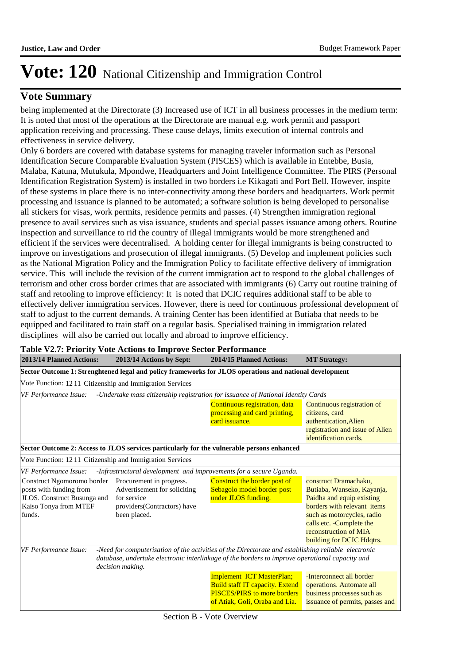### **Vote Summary**

being implemented at the Directorate (3) Increased use of ICT in all business processes in the medium term: It is noted that most of the operations at the Directorate are manual e.g. work permit and passport application receiving and processing. These cause delays, limits execution of internal controls and effectiveness in service delivery.

Only 6 borders are covered with database systems for managing traveler information such as Personal Identification Secure Comparable Evaluation System (PISCES) which is available in Entebbe, Busia, Malaba, Katuna, Mutukula, Mpondwe, Headquarters and Joint Intelligence Committee. The PIRS (Personal Identification Registration System) is installed in two borders i.e Kikagati and Port Bell. However, inspite of these systems in place there is no inter-connectivity among these borders and headquarters. Work permit processing and issuance is planned to be automated; a software solution is being developed to personalise all stickers for visas, work permits, residence permits and passes. (4) Strengthen immigration regional presence to avail services such as visa issuance, students and special passes issuance among others. Routine inspection and surveillance to rid the country of illegal immigrants would be more strengthened and efficient if the services were decentralised. A holding center for illegal immigrants is being constructed to improve on investigations and prosecution of illegal immigrants. (5) Develop and implement policies such as the National Migration Policy and the Immigration Policy to facilitate effective delivery of immigration service. This will include the revision of the current immigration act to respond to the global challenges of terrorism and other cross border crimes that are associated with immigrants (6) Carry out routine training of staff and retooling to improve efficiency: It is noted that DCIC requires additional staff to be able to effectively deliver immigration services. However, there is need for continuous professional development of staff to adjust to the current demands. A training Center has been identified at Butiaba that needs to be equipped and facilitated to train staff on a regular basis. Specialised training in immigration related disciplines will also be carried out locally and abroad to improve efficiency.

| 2013/14 Planned Actions:                                                                                                | 2013/14 Actions by Sept:                                                                                               | 2014/15 Planned Actions:                                                                                                                                                                              | <b>MT Strategy:</b>                                                                                                                                                                                                              |  |  |  |  |
|-------------------------------------------------------------------------------------------------------------------------|------------------------------------------------------------------------------------------------------------------------|-------------------------------------------------------------------------------------------------------------------------------------------------------------------------------------------------------|----------------------------------------------------------------------------------------------------------------------------------------------------------------------------------------------------------------------------------|--|--|--|--|
| Sector Outcome 1: Strenghtened legal and policy frameworks for JLOS operations and national development                 |                                                                                                                        |                                                                                                                                                                                                       |                                                                                                                                                                                                                                  |  |  |  |  |
| Vote Function: 12 11 Citizenship and Immigration Services                                                               |                                                                                                                        |                                                                                                                                                                                                       |                                                                                                                                                                                                                                  |  |  |  |  |
| VF Performance Issue:                                                                                                   |                                                                                                                        | -Undertake mass citizenship registration for issuance of National Identity Cards                                                                                                                      |                                                                                                                                                                                                                                  |  |  |  |  |
|                                                                                                                         |                                                                                                                        | Continuous registration, data<br>processing and card printing,<br>card issuance.                                                                                                                      | Continuous registration of<br>citizens, card<br>authentication, Alien<br>registration and issue of Alien<br>identification cards.                                                                                                |  |  |  |  |
|                                                                                                                         |                                                                                                                        | Sector Outcome 2: Access to JLOS services particularly for the vulnerable persons enhanced                                                                                                            |                                                                                                                                                                                                                                  |  |  |  |  |
| Vote Function: 1211 Citizenship and Immigration Services                                                                |                                                                                                                        |                                                                                                                                                                                                       |                                                                                                                                                                                                                                  |  |  |  |  |
| <b>VF</b> Performance Issue:                                                                                            |                                                                                                                        | -Infrastructural development and improvements for a secure Uganda.                                                                                                                                    |                                                                                                                                                                                                                                  |  |  |  |  |
| Construct Ngomoromo border<br>posts with funding from<br>JLOS. Construct Busunga and<br>Kaiso Tonya from MTEF<br>funds. | Procurement in progress.<br>Advertisement for soliciting<br>for service<br>providers(Contractors) have<br>been placed. | Construct the border post of<br>Sebagolo model border post<br>under JLOS funding.                                                                                                                     | construct Dramachaku,<br>Butiaba, Wanseko, Kayanja,<br>Paidha and equip existing<br>borders with relevant items<br>such as motorcycles, radio<br>calls etc. - Complete the<br>reconstruction of MIA<br>building for DCIC Hdqtrs. |  |  |  |  |
| VF Performance Issue:                                                                                                   | decision making.                                                                                                       | -Need for computerisation of the activities of the Directorate and establishing reliable electronic<br>database, undertake electronic interlinkage of the borders to improve operational capacity and |                                                                                                                                                                                                                                  |  |  |  |  |
|                                                                                                                         |                                                                                                                        | Implement ICT MasterPlan;<br><b>Build staff IT capacity. Extend</b><br><b>PISCES/PIRS to more borders</b>                                                                                             | -Interconnect all border<br>operations. Automate all<br>business processes such as                                                                                                                                               |  |  |  |  |

#### **Table V2.7: Priority Vote Actions to Improve Sector Performance**

of Atiak, Goli, Oraba and Lia. issuance of permits, passes and

Section B - Vote Overview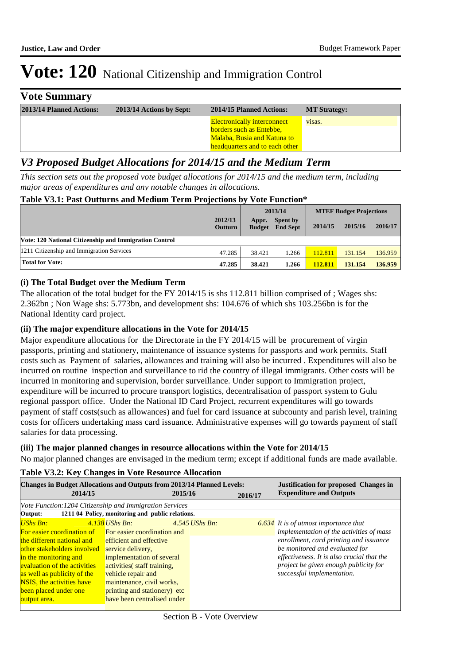| <b>Vote Summary</b>      |                          |                                                                                                                                        |                     |
|--------------------------|--------------------------|----------------------------------------------------------------------------------------------------------------------------------------|---------------------|
| 2013/14 Planned Actions: | 2013/14 Actions by Sept: | 2014/15 Planned Actions:                                                                                                               | <b>MT Strategy:</b> |
|                          |                          | <b>Electronically interconnect</b><br><b>borders such as Entebbe,</b><br>Malaba, Busia and Katuna to<br>headquarters and to each other | visas.              |

# *V3 Proposed Budget Allocations for 2014/15 and the Medium Term*

*This section sets out the proposed vote budget allocations for 2014/15 and the medium term, including major areas of expenditures and any notable changes in allocations.* 

#### **Table V3.1: Past Outturns and Medium Term Projections by Vote Function\***

|                                                        |                           | 2013/14                |                                    | <b>MTEF Budget Projections</b> |         |         |
|--------------------------------------------------------|---------------------------|------------------------|------------------------------------|--------------------------------|---------|---------|
|                                                        | 2012/13<br><b>Outturn</b> | Appr.<br><b>Budget</b> | <b>Spent by</b><br><b>End Sept</b> | 2014/15                        | 2015/16 | 2016/17 |
| Vote: 120 National Citizenship and Immigration Control |                           |                        |                                    |                                |         |         |
| 1211 Citizenship and Immigration Services              | 47.285                    | 38.421                 | 1.266                              | 112.811                        | 131.154 | 136.959 |
| <b>Total for Vote:</b>                                 | 47.285                    | 38.421                 | 1.266                              | 112.811                        | 131.154 | 136.959 |

#### **(i) The Total Budget over the Medium Term**

The allocation of the total budget for the FY 2014/15 is shs 112.811 billion comprised of ; Wages shs: 2.362bn ; Non Wage shs: 5.773bn, and development shs: 104.676 of which shs 103.256bn is for the National Identity card project.

#### **(ii) The major expenditure allocations in the Vote for 2014/15**

Major expenditure allocations for the Directorate in the FY 2014/15 will be procurement of virgin passports, printing and stationery, maintenance of issuance systems for passports and work permits. Staff costs such as Payment of salaries, allowances and training will also be incurred . Expenditures will also be incurred on routine inspection and surveillance to rid the country of illegal immigrants. Other costs will be incurred in monitoring and supervision, border surveillance. Under support to Immigration project, expenditure will be incurred to procure transport logistics, decentralisation of passport system to Gulu regional passport office. Under the National ID Card Project, recurrent expenditures will go towards payment of staff costs(such as allowances) and fuel for card issuance at subcounty and parish level, training costs for officers undertaking mass card issuance. Administrative expenses will go towards payment of staff salaries for data processing.

### **(iii) The major planned changes in resource allocations within the Vote for 2014/15**

No major planned changes are envisaged in the medium term; except if additional funds are made available.

#### **2016/17 2015/16 Justification for proposed Changes in 2014/15 Expenditure and Outputs Changes in Budget Allocations and Outputs from 2013/14 Planned Levels:** *Vote Function:1204 Citizenship and Immigration Services* **Output: 1211 04 Policy, monitoring and public relations.** *UShs Bn: 4.138 UShs Bn: 4.545 UShs Bn: 6.634* For easier coordination of For easier coordination and the different national and other stakeholders involved service delivery, in the monitoring and evaluation of the activities as well as publicity of the NSIS, the activities have been placed under one output area. efficient and effective implementation of several activities( staff training, vehicle repair and maintenance, civil works, printing and stationery) etc have been centralised under *It is of utmost importance that implementation of the activities of mass enrollment, card printing and issuance be monitored and evaluated for effectiveness. It is also crucial that the project be given enough publicity for successful implementation.*

#### **Table V3.2: Key Changes in Vote Resource Allocation**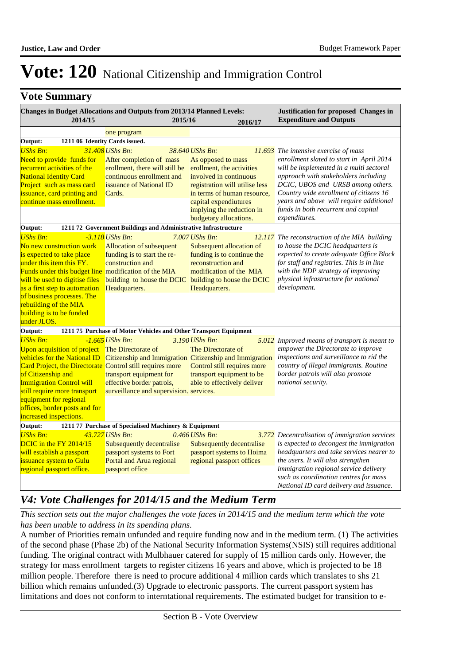### **Vote Summary**

|                                                         |                                                                                                                                                                                                                | Changes in Budget Allocations and Outputs from 2013/14 Planned Levels:                                                                                                                                                                                                                         |         |                                                                                                                                                                                                                                               |         | Justification for proposed Changes in                                                                                                                                                                                                                                                                                                                    |
|---------------------------------------------------------|----------------------------------------------------------------------------------------------------------------------------------------------------------------------------------------------------------------|------------------------------------------------------------------------------------------------------------------------------------------------------------------------------------------------------------------------------------------------------------------------------------------------|---------|-----------------------------------------------------------------------------------------------------------------------------------------------------------------------------------------------------------------------------------------------|---------|----------------------------------------------------------------------------------------------------------------------------------------------------------------------------------------------------------------------------------------------------------------------------------------------------------------------------------------------------------|
|                                                         | 2014/15                                                                                                                                                                                                        |                                                                                                                                                                                                                                                                                                | 2015/16 |                                                                                                                                                                                                                                               | 2016/17 | <b>Expenditure and Outputs</b>                                                                                                                                                                                                                                                                                                                           |
|                                                         |                                                                                                                                                                                                                | one program                                                                                                                                                                                                                                                                                    |         |                                                                                                                                                                                                                                               |         |                                                                                                                                                                                                                                                                                                                                                          |
| Output:                                                 | 1211 06 Identity Cards issued.                                                                                                                                                                                 |                                                                                                                                                                                                                                                                                                |         |                                                                                                                                                                                                                                               |         |                                                                                                                                                                                                                                                                                                                                                          |
| <b>UShs Bn:</b><br><b>National Identity Card</b>        | Need to provide funds for<br>recurrent activities of the<br>Project such as mass card<br>issuance, card printing and<br>continue mass enrollment.                                                              | 31.408 UShs Bn:<br>After completion of mass<br>erollment, there will still be<br>continuous enrollment and<br>issuance of National ID<br>Cards.                                                                                                                                                |         | 38.640 UShs Bn:<br>As opposed to mass<br>erollment, the activities<br>involved in continuous<br>registration will utilise less<br>in terms of human resource,<br>capital expendiutures<br>implying the reduction in<br>budgetary allocations. |         | $11.693$ The intensive exercise of mass<br>enrollment slated to start in April 2014<br>will be implemented in a multi sectoral<br>approach with stakeholders including<br>DCIC, UBOS and URSB among others.<br>Country wide enrollment of citizens 16<br>years and above will require additional<br>funds in both recurrent and capital<br>expenditures. |
| Output:                                                 |                                                                                                                                                                                                                | 1211 72 Government Buildings and Administrative Infrastructure                                                                                                                                                                                                                                 |         |                                                                                                                                                                                                                                               |         |                                                                                                                                                                                                                                                                                                                                                          |
| <b>UShs Bn:</b><br>rebuilding of the MIA<br>under JLOS. | No new construction work<br>is expected to take place<br>under this item this FY.<br>will be used to digitise files<br>as a first step to automation<br>of business processes. The<br>building is to be funded | $-3.118$ UShs Bn:<br><b>Allocation of subsequent</b><br>funding is to start the re-<br>construction and<br>Funds under this budget line modification of the MIA<br>building to house the DCIC building to house the DCIC<br>Headquarters.                                                      |         | $7.007$ UShs Bn:<br>Subsequent allocation of<br>funding is to continue the<br>reconstruction and<br>modification of the MIA<br>Headquarters.                                                                                                  |         | 12.117 The reconstruction of the MIA building<br>to house the DCIC headquarters is<br>expected to create adequate Office Block<br>for staff and registries. This is in line<br>with the NDP strategy of improving<br>physical infrastructure for national<br>development.                                                                                |
| Output:                                                 |                                                                                                                                                                                                                | 1211 75 Purchase of Motor Vehicles and Other Transport Equipment                                                                                                                                                                                                                               |         |                                                                                                                                                                                                                                               |         |                                                                                                                                                                                                                                                                                                                                                          |
| <b>UShs Bn:</b><br>of Citizenship and                   | vehicles for the National ID<br><b>Immigration Control will</b><br>still require more transport<br>equipment for regional<br>offices, border posts and for                                                     | $-1.665$ UShs Bn:<br>Upon acquisition of project The Directorate of<br>Citizenship and Immigration Citizenship and Immigration<br>Card Project, the Directorate Control still requires more<br>transport equipment for<br>effective border patrols,<br>surveillance and supervision. services. |         | 3.190 UShs Bn:<br>The Directorate of<br>Control still requires more<br>transport equipment to be<br>able to effectively deliver                                                                                                               |         | 5.012 Improved means of transport is meant to<br>empower the Directorate to improve<br>inspections and surveillance to rid the<br>country of illegal immigrants. Routine<br>border patrols will also promote<br>national security.                                                                                                                       |
| increased inspections.                                  |                                                                                                                                                                                                                |                                                                                                                                                                                                                                                                                                |         |                                                                                                                                                                                                                                               |         |                                                                                                                                                                                                                                                                                                                                                          |
| Output:                                                 |                                                                                                                                                                                                                | 1211 77 Purchase of Specialised Machinery & Equipment                                                                                                                                                                                                                                          |         |                                                                                                                                                                                                                                               |         |                                                                                                                                                                                                                                                                                                                                                          |
| <b>UShs Bn:</b>                                         | DCIC in the FY 2014/15<br>will establish a passport<br>issuance system to Gulu<br>regional passport office.                                                                                                    | 43.727 UShs Bn:<br>Subsequently decentralise<br>passport systems to Fort<br>Portal and Arua regional<br>passport office                                                                                                                                                                        |         | 0.466 UShs Bn:<br>Subsequently decentralise<br>passport systems to Hoima<br>regional passport offices                                                                                                                                         |         | 3.772 Decentralisation of immigration services<br>is expected to decongest the immigration<br>headquarters and take services nearer to<br>the users. It will also strengthen<br>immigration regional service delivery<br>such as coordination centres for mass<br>National ID card delivery and issuance.                                                |

# *V4: Vote Challenges for 2014/15 and the Medium Term*

*This section sets out the major challenges the vote faces in 2014/15 and the medium term which the vote has been unable to address in its spending plans.*

A number of Priorities remain unfunded and require funding now and in the medium term. (1) The activities of the second phase (Phase 2b) of the National Security Information Systems(NSIS) still requires additional funding. The original contract with Mulbhauer catered for supply of 15 million cards only. However, the strategy for mass enrollment targets to register citizens 16 years and above, which is projected to be 18 million people. Therefore there is need to procure additional 4 million cards which translates to shs 21 billion which remains unfunded.(3) Upgrade to electronic passports. The current passport system has limitations and does not conform to interntational requirements. The estimated budget for transition to e-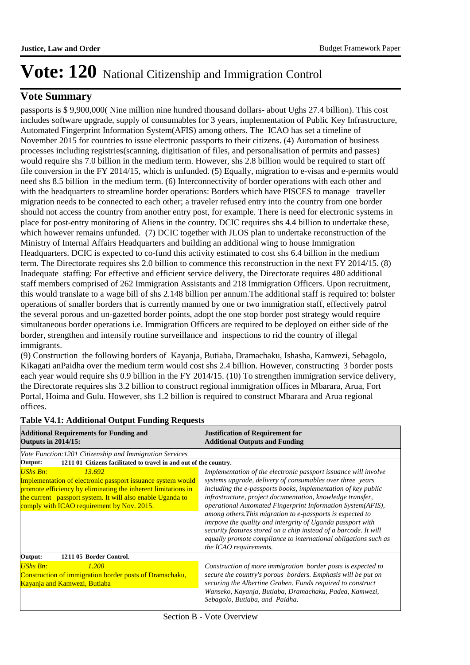### **Vote Summary**

passports is \$ 9,900,000( Nine million nine hundred thousand dollars- about Ughs 27.4 billion). This cost includes software upgrade, supply of consumables for 3 years, implementation of Public Key Infrastructure, Automated Fingerprint Information System(AFIS) among others. The ICAO has set a timeline of November 2015 for countries to issue electronic passports to their citizens. (4) Automation of business processes including registries(scanning, digitisation of files, and personalisation of permits and passes) would require shs 7.0 billion in the medium term. However, shs 2.8 billion would be required to start off file conversion in the FY 2014/15, which is unfunded. (5) Equally, migration to e-visas and e-permits would need shs 8.5 billion in the medium term. (6) Interconnectivity of border operations with each other and with the headquarters to streamline border operations: Borders which have PISCES to manage traveller migration needs to be connected to each other; a traveler refused entry into the country from one border should not access the country from another entry post, for example. There is need for electronic systems in place for post-entry monitoring of Aliens in the country. DCIC requires shs 4.4 billion to undertake these, which however remains unfunded. (7) DCIC together with JLOS plan to undertake reconstruction of the Ministry of Internal Affairs Headquarters and building an additional wing to house Immigration Headquarters. DCIC is expected to co-fund this activity estimated to cost shs 6.4 billion in the medium term. The Directorate requires shs 2.0 billion to commence this reconstruction in the next FY 2014/15. (8) Inadequate staffing: For effective and efficient service delivery, the Directorate requires 480 additional staff members comprised of 262 Immigration Assistants and 218 Immigration Officers. Upon recruitment, this would translate to a wage bill of shs 2.148 billion per annum.The additional staff is required to: bolster operations of smaller borders that is currently manned by one or two immigration staff, effectively patrol the several porous and un-gazetted border points, adopt the one stop border post strategy would require simultaneous border operations i.e. Immigration Officers are required to be deployed on either side of the border, strengthen and intensify routine surveillance and inspections to rid the country of illegal immigrants.

(9) 
Construction the following borders of Kayanja, Butiaba, Dramachaku, Ishasha, Kamwezi, Sebagolo, Kikagati anPaidha over the medium term would cost shs 2.4 billion. However, constructing 3 border posts each year would require shs 0.9 billion in the FY 2014/15. (10) To strengthen immigration service delivery, the Directorate requires shs 3.2 billion to construct regional immigration offices in Mbarara, Arua, Fort Portal, Hoima and Gulu. However, shs 1.2 billion is required to construct Mbarara and Arua regional offices.

| <b>Additional Requirements for Funding and</b><br><b>Outputs in 2014/15:</b>                                                                                                                                                                                          | <b>Justification of Requirement for</b><br><b>Additional Outputs and Funding</b>                                                                                                                                                                                                                                                                                                                                                                                                                                                                                                                                         |  |  |  |
|-----------------------------------------------------------------------------------------------------------------------------------------------------------------------------------------------------------------------------------------------------------------------|--------------------------------------------------------------------------------------------------------------------------------------------------------------------------------------------------------------------------------------------------------------------------------------------------------------------------------------------------------------------------------------------------------------------------------------------------------------------------------------------------------------------------------------------------------------------------------------------------------------------------|--|--|--|
| Vote Function: 1201 Citizenship and Immigration Services<br>1211 01 Citizens facilitated to travel in and out of the country.<br>Output:                                                                                                                              |                                                                                                                                                                                                                                                                                                                                                                                                                                                                                                                                                                                                                          |  |  |  |
| <b>UShs Bn:</b><br>13.692<br>Implementation of electronic passport issuance system would<br>promote efficiency by eliminating the inherent limitations in<br>the current passport system. It will also enable Uganda to<br>comply with ICAO requirement by Nov. 2015. | Implementation of the electronic passport is suance will involve<br>systems upgrade, delivery of consumables over three years<br>including the e-passports books, implementation of key public<br>infrastructure, project documentation, knowledge transfer,<br>operational Automated Fingerprint Information System(AFIS),<br>among others. This migration to e-passports is expected to<br>imrpove the quality and intergrity of Uganda passport with<br>security features stored on a chip instead of a barcode. It will<br>equally promote compliance to international obligations such as<br>the ICAO requirements. |  |  |  |
| 1211 05 Border Control.<br>Output:                                                                                                                                                                                                                                    |                                                                                                                                                                                                                                                                                                                                                                                                                                                                                                                                                                                                                          |  |  |  |
| <b>UShs Bn:</b><br>1.200<br>Construction of immigration border posts of Dramachaku,<br>Kayanja and Kamwezi, Butiaba                                                                                                                                                   | Construction of more immigration border posts is expected to<br>secure the country's porous borders. Emphasis will be put on<br>securing the Albertine Graben. Funds required to construct<br>Wanseko, Kayanja, Butiaba, Dramachaku, Padea, Kamwezi,<br>Sebagolo, Butiaba, and Paidha.                                                                                                                                                                                                                                                                                                                                   |  |  |  |

### **Table V4.1: Additional Output Funding Requests**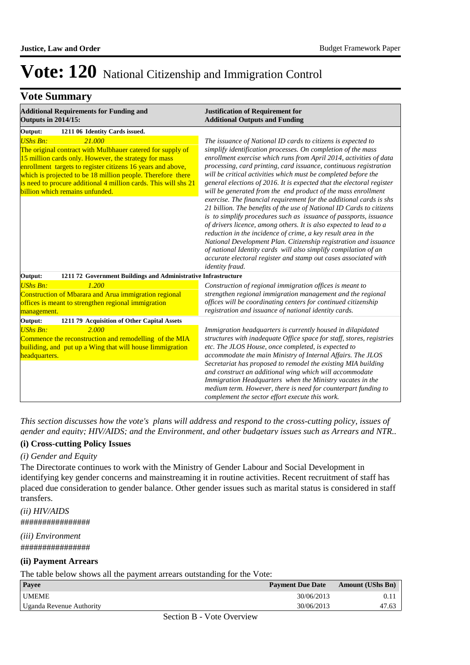# **Vote Summary**

| <b>Additional Requirements for Funding and</b><br><b>Outputs in 2014/15:</b>                                                                                                                                                                                                                                                                                                         | <b>Justification of Requirement for</b><br><b>Additional Outputs and Funding</b>                                                                                                                                                                                                                                                                                                                                                                                                                                                                                                                                                                                                                                                                                                                                                                                                                                                                                                                                                                                                   |  |  |  |
|--------------------------------------------------------------------------------------------------------------------------------------------------------------------------------------------------------------------------------------------------------------------------------------------------------------------------------------------------------------------------------------|------------------------------------------------------------------------------------------------------------------------------------------------------------------------------------------------------------------------------------------------------------------------------------------------------------------------------------------------------------------------------------------------------------------------------------------------------------------------------------------------------------------------------------------------------------------------------------------------------------------------------------------------------------------------------------------------------------------------------------------------------------------------------------------------------------------------------------------------------------------------------------------------------------------------------------------------------------------------------------------------------------------------------------------------------------------------------------|--|--|--|
| Output:<br>1211 06 Identity Cards issued.                                                                                                                                                                                                                                                                                                                                            |                                                                                                                                                                                                                                                                                                                                                                                                                                                                                                                                                                                                                                                                                                                                                                                                                                                                                                                                                                                                                                                                                    |  |  |  |
| <b>UShs Bn:</b><br>21.000<br>The original contract with Mulbhauer catered for supply of<br>15 million cards only. However, the strategy for mass<br>enrollment targets to register citizens 16 years and above,<br>which is projected to be 18 million people. Therefore there<br>is need to procure additional 4 million cards. This will shs 21<br>billion which remains unfunded. | The issuance of National ID cards to citizens is expected to<br>simplify identification processes. On completion of the mass<br>enrollment exercise which runs from April 2014, activities of data<br>processing, card printing, card issuance, continuous registration<br>will be critical activities which must be completed before the<br>general elections of 2016. It is expected that the electoral register<br>will be generated from the end product of the mass enrollment<br>exercise. The financial requirement for the additional cards is shs<br>21 billion. The benefits of the use of National ID Cards to citizens<br>is to simplify procedures such as issuance of passports, issuance<br>of drivers licence, among others. It is also expected to lead to a<br>reduction in the incidence of crime, a key result area in the<br>National Development Plan. Citizenship registration and issuance<br>of national Identity cards will also simplify compilation of an<br>accurate electoral register and stamp out cases associated with<br><i>identity fraud.</i> |  |  |  |
| 1211 72 Government Buildings and Administrative Infrastructure<br>Output:                                                                                                                                                                                                                                                                                                            |                                                                                                                                                                                                                                                                                                                                                                                                                                                                                                                                                                                                                                                                                                                                                                                                                                                                                                                                                                                                                                                                                    |  |  |  |
| <b>UShs Bn:</b><br>1.200<br>Construction of Mbarara and Arua immigration regional<br>offices is meant to strengthen regional immigration<br>management.                                                                                                                                                                                                                              | Construction of regional immigration offices is meant to<br>strengthen regional immigration management and the regional<br>offices will be coordinating centers for continued citizenship<br>registration and issuance of national identity cards.                                                                                                                                                                                                                                                                                                                                                                                                                                                                                                                                                                                                                                                                                                                                                                                                                                 |  |  |  |
| Output:<br>1211 79 Acquisition of Other Capital Assets                                                                                                                                                                                                                                                                                                                               |                                                                                                                                                                                                                                                                                                                                                                                                                                                                                                                                                                                                                                                                                                                                                                                                                                                                                                                                                                                                                                                                                    |  |  |  |
| <b>UShs Bn:</b><br>2.000<br>Commence the reconstruction and remodelling of the MIA<br>builiding, and put up a Wing that will house Iimmigration<br>headquarters.                                                                                                                                                                                                                     | Immigration headquarters is currently housed in dilapidated<br>structures with inadequate Office space for staff, stores, registries<br>etc. The JLOS House, once completed, is expected to<br>accommodate the main Ministry of Internal Affairs. The JLOS<br>Secretariat has proposed to remodel the existing MIA building<br>and construct an additional wing which will accommodate<br>Immigration Headquarters when the Ministry vacates in the<br>medium term. However, there is need for counterpart funding to<br>complement the sector effort execute this work.                                                                                                                                                                                                                                                                                                                                                                                                                                                                                                           |  |  |  |

*This section discusses how the vote's plans will address and respond to the cross-cutting policy, issues of gender and equity; HIV/AIDS; and the Environment, and other budgetary issues such as Arrears and NTR..* 

#### **(i) Cross-cutting Policy Issues**

#### *(i) Gender and Equity*

The Directorate continues to work with the Ministry of Gender Labour and Social Development in identifying key gender concerns and mainstreaming it in routine activities. Recent recruitment of staff has placed due consideration to gender balance. Other gender issues such as marital status is considered in staff transfers.

*(ii) HIV/AIDS* ################

*(iii) Environment* ################

#### **(ii) Payment Arrears**

The table below shows all the payment arrears outstanding for the Vote:

|                          |                                           | -- |                         |                         |
|--------------------------|-------------------------------------------|----|-------------------------|-------------------------|
| <b>Pavee</b>             |                                           |    | <b>Payment Due Date</b> | <b>Amount (UShs Bn)</b> |
| <b>UMEME</b>             |                                           |    | 30/06/2013              | 0. 1                    |
| Uganda Revenue Authority |                                           |    | 30/06/2013              |                         |
|                          | $\alpha$ , $\alpha$ , $\alpha$ , $\alpha$ |    |                         |                         |